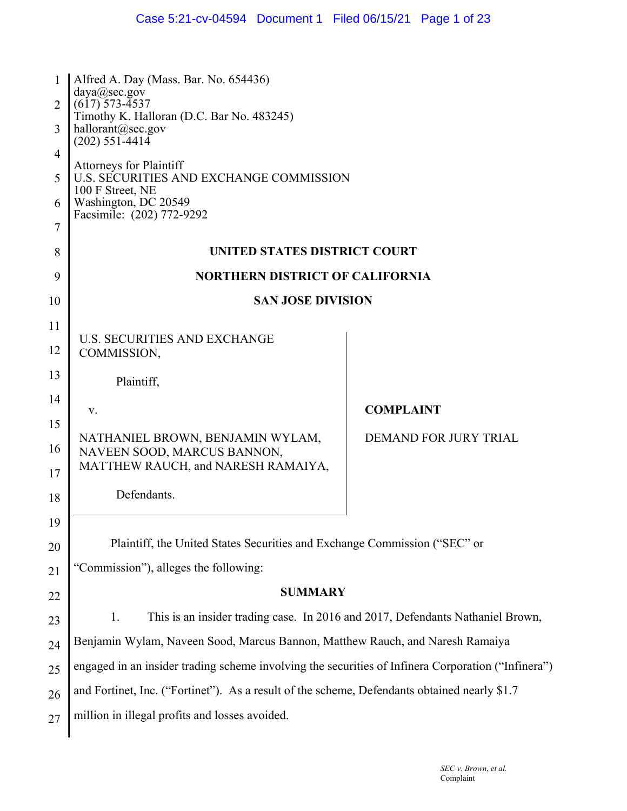| 1<br>2<br>3 | Alfred A. Day (Mass. Bar. No. 654436)<br>daya@sec.gov<br>$(617)$ 573-4537<br>Timothy K. Halloran (D.C. Bar No. 483245)<br>hallorant@sec.gov<br>$(202)$ 551-4414 |                              |  |
|-------------|-----------------------------------------------------------------------------------------------------------------------------------------------------------------|------------------------------|--|
| 4<br>5      | <b>Attorneys for Plaintiff</b><br>U.S. SECURITIES AND EXCHANGE COMMISSION<br>100 F Street, NE<br>Washington, DC 20549<br>Facsimile: (202) 772-9292              |                              |  |
| 6<br>7      |                                                                                                                                                                 |                              |  |
| 8           | UNITED STATES DISTRICT COURT                                                                                                                                    |                              |  |
| 9           | <b>NORTHERN DISTRICT OF CALIFORNIA</b>                                                                                                                          |                              |  |
| 10          | <b>SAN JOSE DIVISION</b>                                                                                                                                        |                              |  |
| 11          |                                                                                                                                                                 |                              |  |
| 12          | <b>U.S. SECURITIES AND EXCHANGE</b><br>COMMISSION,                                                                                                              |                              |  |
| 13          | Plaintiff,                                                                                                                                                      |                              |  |
| 14          | V.                                                                                                                                                              | <b>COMPLAINT</b>             |  |
| 15          | NATHANIEL BROWN, BENJAMIN WYLAM,                                                                                                                                | <b>DEMAND FOR JURY TRIAL</b> |  |
| 16          | NAVEEN SOOD, MARCUS BANNON,<br>MATTHEW RAUCH, and NARESH RAMAIYA,                                                                                               |                              |  |
| 17          |                                                                                                                                                                 |                              |  |
| 18          | Defendants.                                                                                                                                                     |                              |  |
| 19          |                                                                                                                                                                 |                              |  |
| 20          | Plaintiff, the United States Securities and Exchange Commission ("SEC" or                                                                                       |                              |  |
| 21          | "Commission"), alleges the following:                                                                                                                           |                              |  |
| 22          | <b>SUMMARY</b>                                                                                                                                                  |                              |  |
| 23          | This is an insider trading case. In 2016 and 2017, Defendants Nathaniel Brown,<br>1.                                                                            |                              |  |
| 24          | Benjamin Wylam, Naveen Sood, Marcus Bannon, Matthew Rauch, and Naresh Ramaiya                                                                                   |                              |  |
| 25          | engaged in an insider trading scheme involving the securities of Infinera Corporation ("Infinera")                                                              |                              |  |
| 26          | and Fortinet, Inc. ("Fortinet"). As a result of the scheme, Defendants obtained nearly \$1.7                                                                    |                              |  |
| 27          | million in illegal profits and losses avoided.                                                                                                                  |                              |  |
|             |                                                                                                                                                                 |                              |  |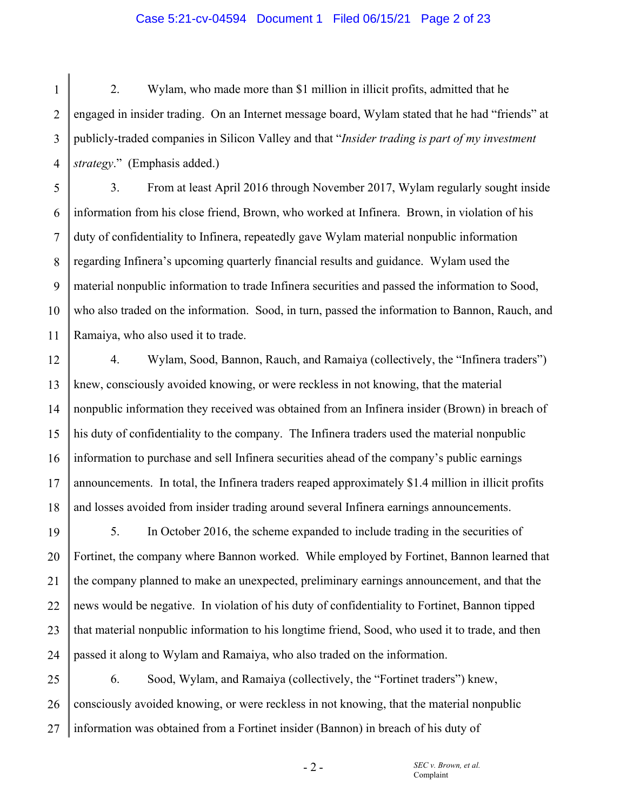#### Case 5:21-cv-04594 Document 1 Filed 06/15/21 Page 2 of 23

1 2 3 4 2. Wylam, who made more than \$1 million in illicit profits, admitted that he engaged in insider trading. On an Internet message board, Wylam stated that he had "friends" at publicly-traded companies in Silicon Valley and that "*Insider trading is part of my investment strategy*." (Emphasis added.)

5 6 7 8 9 10 11 3. From at least April 2016 through November 2017, Wylam regularly sought inside information from his close friend, Brown, who worked at Infinera. Brown, in violation of his duty of confidentiality to Infinera, repeatedly gave Wylam material nonpublic information regarding Infinera's upcoming quarterly financial results and guidance. Wylam used the material nonpublic information to trade Infinera securities and passed the information to Sood, who also traded on the information. Sood, in turn, passed the information to Bannon, Rauch, and Ramaiya, who also used it to trade.

12 13 14 15 16 17 18 4. Wylam, Sood, Bannon, Rauch, and Ramaiya (collectively, the "Infinera traders") knew, consciously avoided knowing, or were reckless in not knowing, that the material nonpublic information they received was obtained from an Infinera insider (Brown) in breach of his duty of confidentiality to the company. The Infinera traders used the material nonpublic information to purchase and sell Infinera securities ahead of the company's public earnings announcements. In total, the Infinera traders reaped approximately \$1.4 million in illicit profits and losses avoided from insider trading around several Infinera earnings announcements.

19 20 21 22 23 24 5. In October 2016, the scheme expanded to include trading in the securities of Fortinet, the company where Bannon worked. While employed by Fortinet, Bannon learned that the company planned to make an unexpected, preliminary earnings announcement, and that the news would be negative. In violation of his duty of confidentiality to Fortinet, Bannon tipped that material nonpublic information to his longtime friend, Sood, who used it to trade, and then passed it along to Wylam and Ramaiya, who also traded on the information.

25 26 27 6. Sood, Wylam, and Ramaiya (collectively, the "Fortinet traders") knew, consciously avoided knowing, or were reckless in not knowing, that the material nonpublic information was obtained from a Fortinet insider (Bannon) in breach of his duty of

- 2 -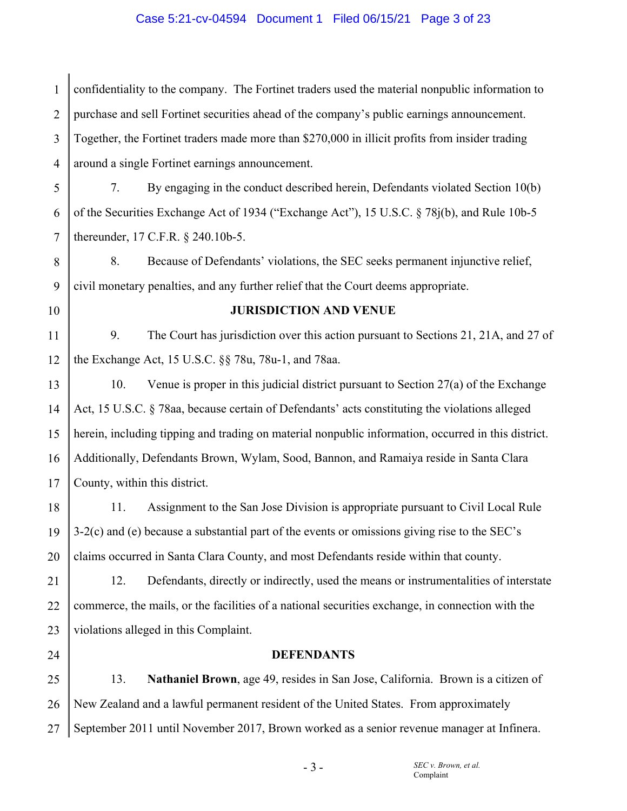## Case 5:21-cv-04594 Document 1 Filed 06/15/21 Page 3 of 23

1 2 3 4 confidentiality to the company. The Fortinet traders used the material nonpublic information to purchase and sell Fortinet securities ahead of the company's public earnings announcement. Together, the Fortinet traders made more than \$270,000 in illicit profits from insider trading around a single Fortinet earnings announcement.

5 6 7 7. By engaging in the conduct described herein, Defendants violated Section 10(b) of the Securities Exchange Act of 1934 ("Exchange Act"), 15 U.S.C. § 78j(b), and Rule 10b-5 thereunder, 17 C.F.R. § 240.10b-5.

8 9 8. Because of Defendants' violations, the SEC seeks permanent injunctive relief, civil monetary penalties, and any further relief that the Court deems appropriate.

10

## **JURISDICTION AND VENUE**

11 12 9. The Court has jurisdiction over this action pursuant to Sections 21, 21A, and 27 of the Exchange Act, 15 U.S.C. §§ 78u, 78u-1, and 78aa.

13 14 15 16 17 10. Venue is proper in this judicial district pursuant to Section 27(a) of the Exchange Act, 15 U.S.C. § 78aa, because certain of Defendants' acts constituting the violations alleged herein, including tipping and trading on material nonpublic information, occurred in this district. Additionally, Defendants Brown, Wylam, Sood, Bannon, and Ramaiya reside in Santa Clara County, within this district.

18 19 20 11. Assignment to the San Jose Division is appropriate pursuant to Civil Local Rule 3-2(c) and (e) because a substantial part of the events or omissions giving rise to the SEC's claims occurred in Santa Clara County, and most Defendants reside within that county.

21 22 23 12. Defendants, directly or indirectly, used the means or instrumentalities of interstate commerce, the mails, or the facilities of a national securities exchange, in connection with the violations alleged in this Complaint.

24

#### **DEFENDANTS**

25 26 27 13. **Nathaniel Brown**, age 49, resides in San Jose, California. Brown is a citizen of New Zealand and a lawful permanent resident of the United States. From approximately September 2011 until November 2017, Brown worked as a senior revenue manager at Infinera.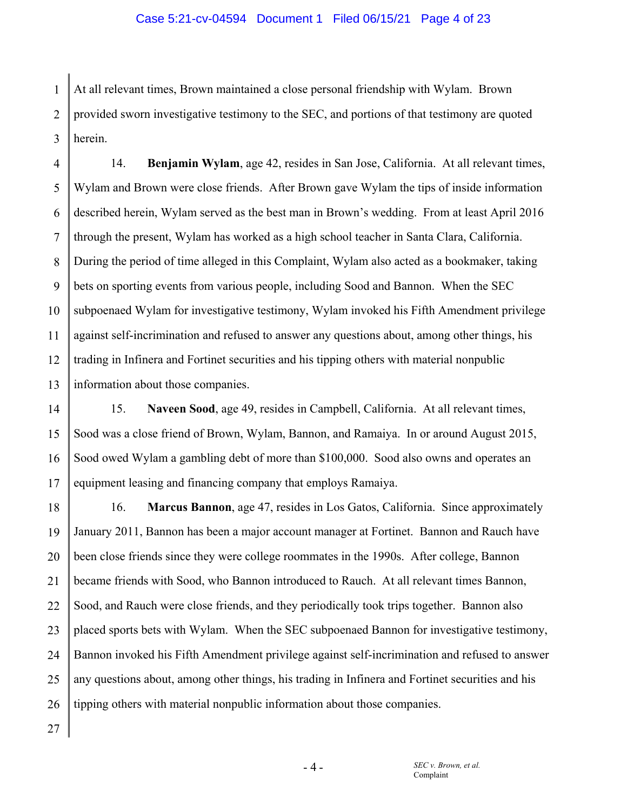1 2 3 At all relevant times, Brown maintained a close personal friendship with Wylam. Brown provided sworn investigative testimony to the SEC, and portions of that testimony are quoted herein.

4 5 6 7 8 9 10 11 12 13 14. **Benjamin Wylam**, age 42, resides in San Jose, California. At all relevant times, Wylam and Brown were close friends. After Brown gave Wylam the tips of inside information described herein, Wylam served as the best man in Brown's wedding. From at least April 2016 through the present, Wylam has worked as a high school teacher in Santa Clara, California. During the period of time alleged in this Complaint, Wylam also acted as a bookmaker, taking bets on sporting events from various people, including Sood and Bannon. When the SEC subpoenaed Wylam for investigative testimony, Wylam invoked his Fifth Amendment privilege against self-incrimination and refused to answer any questions about, among other things, his trading in Infinera and Fortinet securities and his tipping others with material nonpublic information about those companies.

14 15 16 17 15. **Naveen Sood**, age 49, resides in Campbell, California. At all relevant times, Sood was a close friend of Brown, Wylam, Bannon, and Ramaiya. In or around August 2015, Sood owed Wylam a gambling debt of more than \$100,000. Sood also owns and operates an equipment leasing and financing company that employs Ramaiya.

18 19 20 21 22 23 24 25 26 16. **Marcus Bannon**, age 47, resides in Los Gatos, California. Since approximately January 2011, Bannon has been a major account manager at Fortinet. Bannon and Rauch have been close friends since they were college roommates in the 1990s. After college, Bannon became friends with Sood, who Bannon introduced to Rauch. At all relevant times Bannon, Sood, and Rauch were close friends, and they periodically took trips together. Bannon also placed sports bets with Wylam. When the SEC subpoenaed Bannon for investigative testimony, Bannon invoked his Fifth Amendment privilege against self-incrimination and refused to answer any questions about, among other things, his trading in Infinera and Fortinet securities and his tipping others with material nonpublic information about those companies.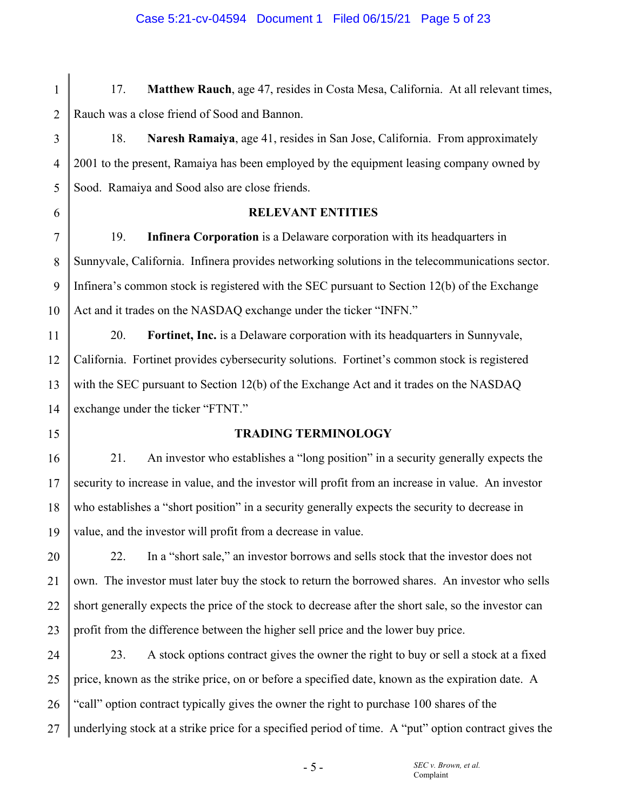# 17. **Matthew Rauch**, age 47, resides in Costa Mesa, California. At all relevant times, Rauch was a close friend of Sood and Bannon.

18. **Naresh Ramaiya**, age 41, resides in San Jose, California. From approximately 2001 to the present, Ramaiya has been employed by the equipment leasing company owned by Sood. Ramaiya and Sood also are close friends.

6

1

2

3

4

5

## **RELEVANT ENTITIES**

7 8 9 10 19. **Infinera Corporation** is a Delaware corporation with its headquarters in Sunnyvale, California. Infinera provides networking solutions in the telecommunications sector. Infinera's common stock is registered with the SEC pursuant to Section 12(b) of the Exchange Act and it trades on the NASDAQ exchange under the ticker "INFN."

11 12 13 14 20. **Fortinet, Inc.** is a Delaware corporation with its headquarters in Sunnyvale, California. Fortinet provides cybersecurity solutions. Fortinet's common stock is registered with the SEC pursuant to Section 12(b) of the Exchange Act and it trades on the NASDAQ exchange under the ticker "FTNT."

15

## **TRADING TERMINOLOGY**

16 17 18 19 21. An investor who establishes a "long position" in a security generally expects the security to increase in value, and the investor will profit from an increase in value. An investor who establishes a "short position" in a security generally expects the security to decrease in value, and the investor will profit from a decrease in value.

20 21 22 23 22. In a "short sale," an investor borrows and sells stock that the investor does not own. The investor must later buy the stock to return the borrowed shares. An investor who sells short generally expects the price of the stock to decrease after the short sale, so the investor can profit from the difference between the higher sell price and the lower buy price.

24 25 26 27 23. A stock options contract gives the owner the right to buy or sell a stock at a fixed price, known as the strike price, on or before a specified date, known as the expiration date. A "call" option contract typically gives the owner the right to purchase 100 shares of the underlying stock at a strike price for a specified period of time. A "put" option contract gives the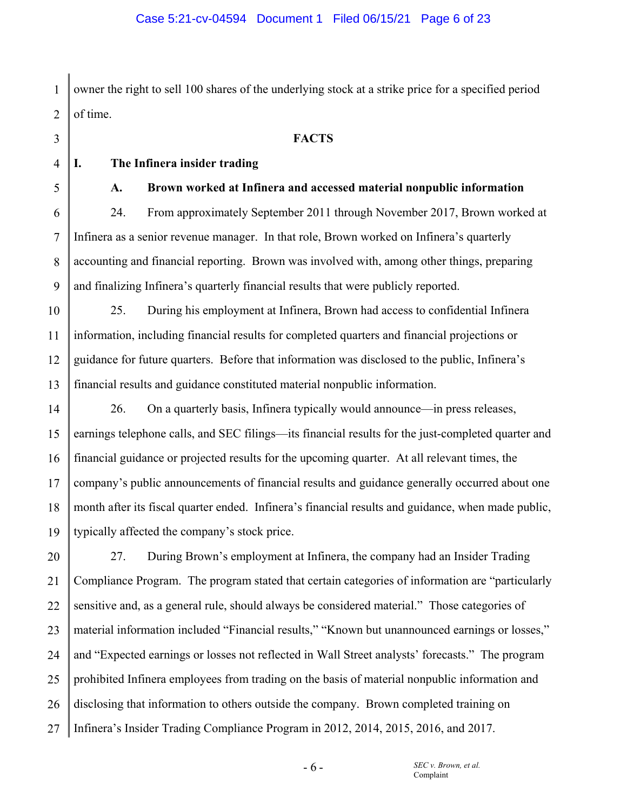1 2 owner the right to sell 100 shares of the underlying stock at a strike price for a specified period of time.

**FACTS** 

4

3

5

6

7

8

9

# **I. The Infinera insider trading**

## **A. Brown worked at Infinera and accessed material nonpublic information**

24. From approximately September 2011 through November 2017, Brown worked at Infinera as a senior revenue manager. In that role, Brown worked on Infinera's quarterly accounting and financial reporting. Brown was involved with, among other things, preparing and finalizing Infinera's quarterly financial results that were publicly reported.

10 11 12 13 25. During his employment at Infinera, Brown had access to confidential Infinera information, including financial results for completed quarters and financial projections or guidance for future quarters. Before that information was disclosed to the public, Infinera's financial results and guidance constituted material nonpublic information.

14 15 16 17 18 19 26. On a quarterly basis, Infinera typically would announce—in press releases, earnings telephone calls, and SEC filings—its financial results for the just-completed quarter and financial guidance or projected results for the upcoming quarter. At all relevant times, the company's public announcements of financial results and guidance generally occurred about one month after its fiscal quarter ended. Infinera's financial results and guidance, when made public, typically affected the company's stock price.

20 21 22 23 24 25 26 27 27. During Brown's employment at Infinera, the company had an Insider Trading Compliance Program. The program stated that certain categories of information are "particularly sensitive and, as a general rule, should always be considered material." Those categories of material information included "Financial results," "Known but unannounced earnings or losses," and "Expected earnings or losses not reflected in Wall Street analysts' forecasts." The program prohibited Infinera employees from trading on the basis of material nonpublic information and disclosing that information to others outside the company. Brown completed training on Infinera's Insider Trading Compliance Program in 2012, 2014, 2015, 2016, and 2017.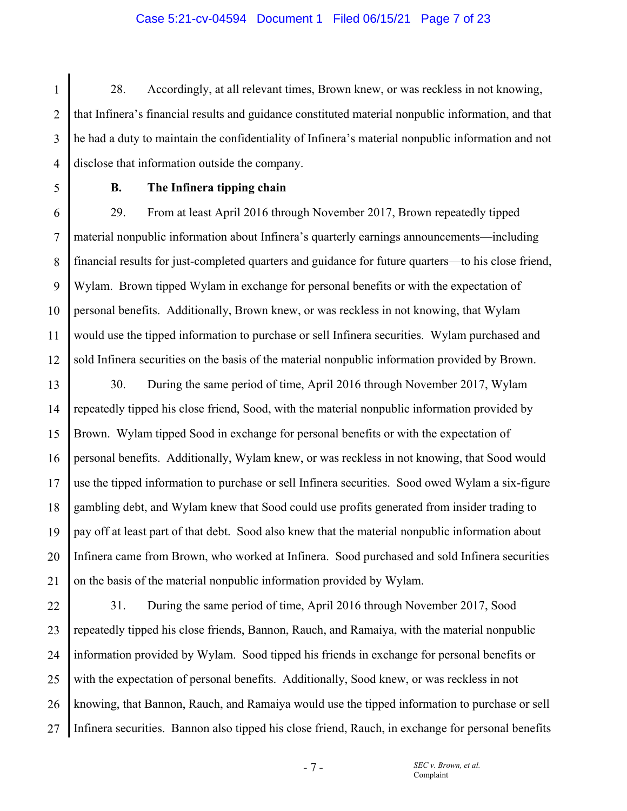#### Case 5:21-cv-04594 Document 1 Filed 06/15/21 Page 7 of 23

2 3 4 28. Accordingly, at all relevant times, Brown knew, or was reckless in not knowing, that Infinera's financial results and guidance constituted material nonpublic information, and that he had a duty to maintain the confidentiality of Infinera's material nonpublic information and not disclose that information outside the company.

5

1

## **B. The Infinera tipping chain**

6 7 8 9 10 11 12 29. From at least April 2016 through November 2017, Brown repeatedly tipped material nonpublic information about Infinera's quarterly earnings announcements—including financial results for just-completed quarters and guidance for future quarters—to his close friend, Wylam. Brown tipped Wylam in exchange for personal benefits or with the expectation of personal benefits. Additionally, Brown knew, or was reckless in not knowing, that Wylam would use the tipped information to purchase or sell Infinera securities. Wylam purchased and sold Infinera securities on the basis of the material nonpublic information provided by Brown.

13 14 15 16 17 18 19 20 21 30. During the same period of time, April 2016 through November 2017, Wylam repeatedly tipped his close friend, Sood, with the material nonpublic information provided by Brown. Wylam tipped Sood in exchange for personal benefits or with the expectation of personal benefits. Additionally, Wylam knew, or was reckless in not knowing, that Sood would use the tipped information to purchase or sell Infinera securities. Sood owed Wylam a six-figure gambling debt, and Wylam knew that Sood could use profits generated from insider trading to pay off at least part of that debt. Sood also knew that the material nonpublic information about Infinera came from Brown, who worked at Infinera. Sood purchased and sold Infinera securities on the basis of the material nonpublic information provided by Wylam.

22 23 24 25 26 27 31. During the same period of time, April 2016 through November 2017, Sood repeatedly tipped his close friends, Bannon, Rauch, and Ramaiya, with the material nonpublic information provided by Wylam. Sood tipped his friends in exchange for personal benefits or with the expectation of personal benefits. Additionally, Sood knew, or was reckless in not knowing, that Bannon, Rauch, and Ramaiya would use the tipped information to purchase or sell Infinera securities. Bannon also tipped his close friend, Rauch, in exchange for personal benefits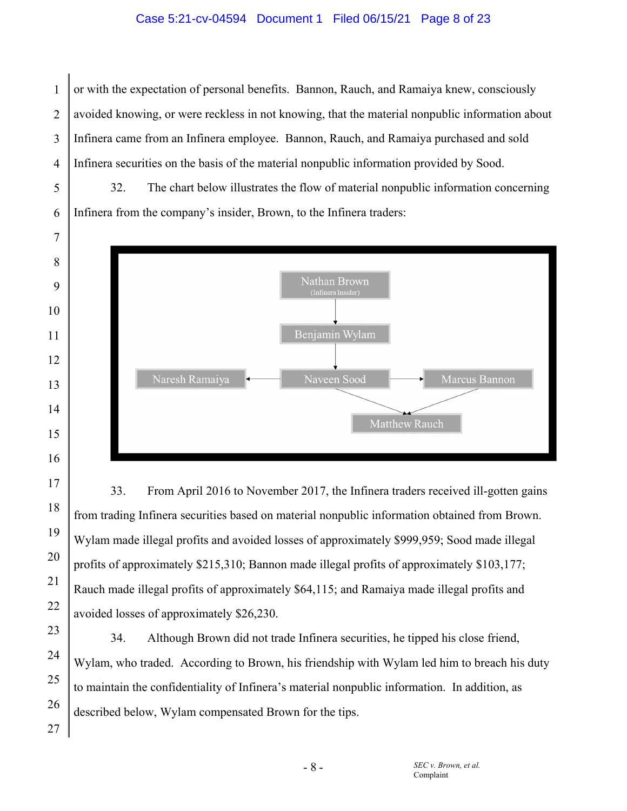## Case 5:21-cv-04594 Document 1 Filed 06/15/21 Page 8 of 23

1 2 3 or with the expectation of personal benefits. Bannon, Rauch, and Ramaiya knew, consciously avoided knowing, or were reckless in not knowing, that the material nonpublic information about Infinera came from an Infinera employee. Bannon, Rauch, and Ramaiya purchased and sold Infinera securities on the basis of the material nonpublic information provided by Sood.

32. The chart below illustrates the flow of material nonpublic information concerning Infinera from the company's insider, Brown, to the Infinera traders:



33. From April 2016 to November 2017, the Infinera traders received ill-gotten gains from trading Infinera securities based on material nonpublic information obtained from Brown. Wylam made illegal profits and avoided losses of approximately \$999,959; Sood made illegal profits of approximately \$215,310; Bannon made illegal profits of approximately \$103,177; Rauch made illegal profits of approximately \$64,115; and Ramaiya made illegal profits and avoided losses of approximately \$26,230.

34. Although Brown did not trade Infinera securities, he tipped his close friend, Wylam, who traded. According to Brown, his friendship with Wylam led him to breach his duty to maintain the confidentiality of Infinera's material nonpublic information. In addition, as described below, Wylam compensated Brown for the tips.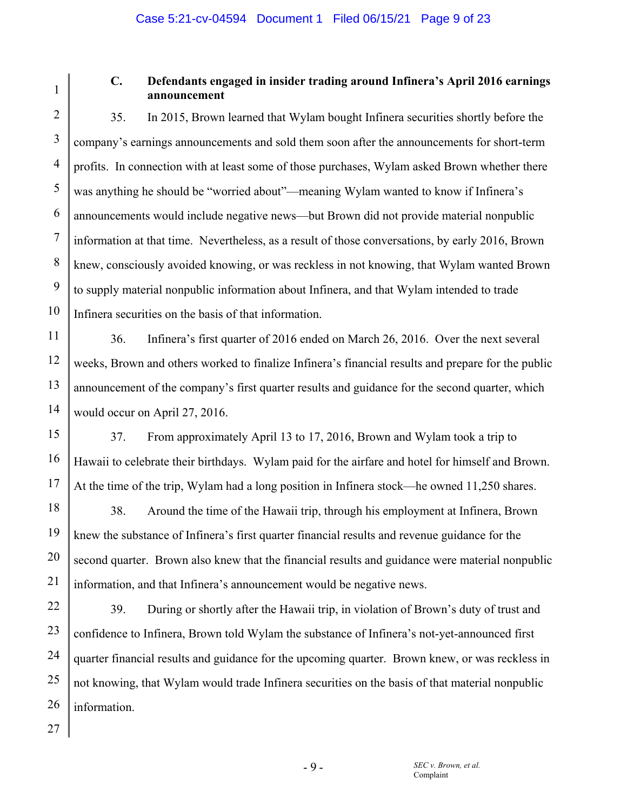1 2 3

4

5

6

7

8

9

10

15

16

17

## **C. Defendants engaged in insider trading around Infinera's April 2016 earnings announcement**

35. In 2015, Brown learned that Wylam bought Infinera securities shortly before the company's earnings announcements and sold them soon after the announcements for short-term profits. In connection with at least some of those purchases, Wylam asked Brown whether there was anything he should be "worried about"—meaning Wylam wanted to know if Infinera's announcements would include negative news—but Brown did not provide material nonpublic information at that time. Nevertheless, as a result of those conversations, by early 2016, Brown knew, consciously avoided knowing, or was reckless in not knowing, that Wylam wanted Brown to supply material nonpublic information about Infinera, and that Wylam intended to trade Infinera securities on the basis of that information.

11 12 13 14 36. Infinera's first quarter of 2016 ended on March 26, 2016. Over the next several weeks, Brown and others worked to finalize Infinera's financial results and prepare for the public announcement of the company's first quarter results and guidance for the second quarter, which would occur on April 27, 2016.

37. From approximately April 13 to 17, 2016, Brown and Wylam took a trip to Hawaii to celebrate their birthdays. Wylam paid for the airfare and hotel for himself and Brown. At the time of the trip, Wylam had a long position in Infinera stock—he owned 11,250 shares.

18 19 20 21 38. Around the time of the Hawaii trip, through his employment at Infinera, Brown knew the substance of Infinera's first quarter financial results and revenue guidance for the second quarter. Brown also knew that the financial results and guidance were material nonpublic information, and that Infinera's announcement would be negative news.

22 23 24 39. During or shortly after the Hawaii trip, in violation of Brown's duty of trust and confidence to Infinera, Brown told Wylam the substance of Infinera's not-yet-announced first quarter financial results and guidance for the upcoming quarter. Brown knew, or was reckless in not knowing, that Wylam would trade Infinera securities on the basis of that material nonpublic information.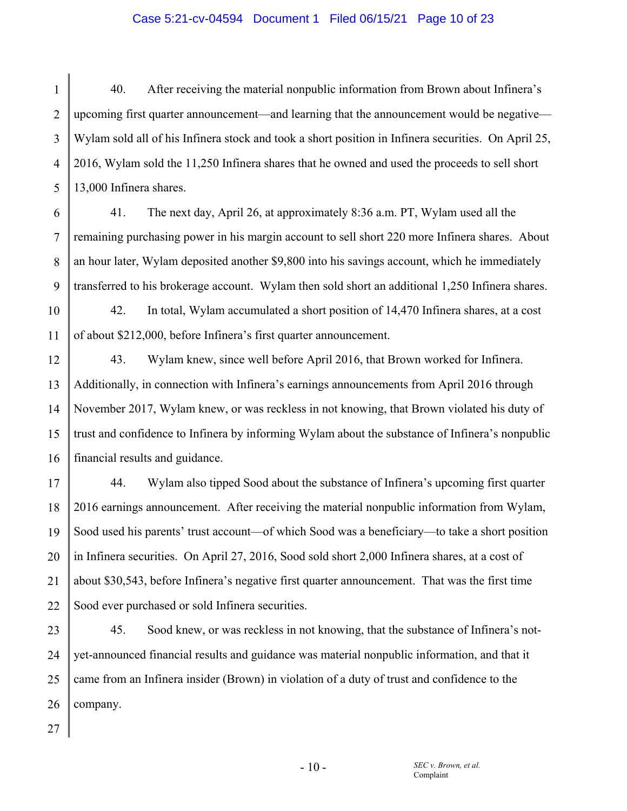## Case 5:21-cv-04594 Document 1 Filed 06/15/21 Page 10 of 23

1 2 3 4 5 40. After receiving the material nonpublic information from Brown about Infinera's upcoming first quarter announcement—and learning that the announcement would be negative— Wylam sold all of his Infinera stock and took a short position in Infinera securities. On April 25, 2016, Wylam sold the 11,250 Infinera shares that he owned and used the proceeds to sell short 13,000 Infinera shares.

6 7 8 9 41. The next day, April 26, at approximately 8:36 a.m. PT, Wylam used all the remaining purchasing power in his margin account to sell short 220 more Infinera shares. About an hour later, Wylam deposited another \$9,800 into his savings account, which he immediately transferred to his brokerage account. Wylam then sold short an additional 1,250 Infinera shares.

10 11 42. In total, Wylam accumulated a short position of 14,470 Infinera shares, at a cost of about \$212,000, before Infinera's first quarter announcement.

12 13 14 15 16 43. Wylam knew, since well before April 2016, that Brown worked for Infinera. Additionally, in connection with Infinera's earnings announcements from April 2016 through November 2017, Wylam knew, or was reckless in not knowing, that Brown violated his duty of trust and confidence to Infinera by informing Wylam about the substance of Infinera's nonpublic financial results and guidance.

17 18 19 20 21 22 44. Wylam also tipped Sood about the substance of Infinera's upcoming first quarter 2016 earnings announcement. After receiving the material nonpublic information from Wylam, Sood used his parents' trust account—of which Sood was a beneficiary—to take a short position in Infinera securities. On April 27, 2016, Sood sold short 2,000 Infinera shares, at a cost of about \$30,543, before Infinera's negative first quarter announcement. That was the first time Sood ever purchased or sold Infinera securities.

23 24 25 26 45. Sood knew, or was reckless in not knowing, that the substance of Infinera's notyet-announced financial results and guidance was material nonpublic information, and that it came from an Infinera insider (Brown) in violation of a duty of trust and confidence to the company.

27

 $-10-$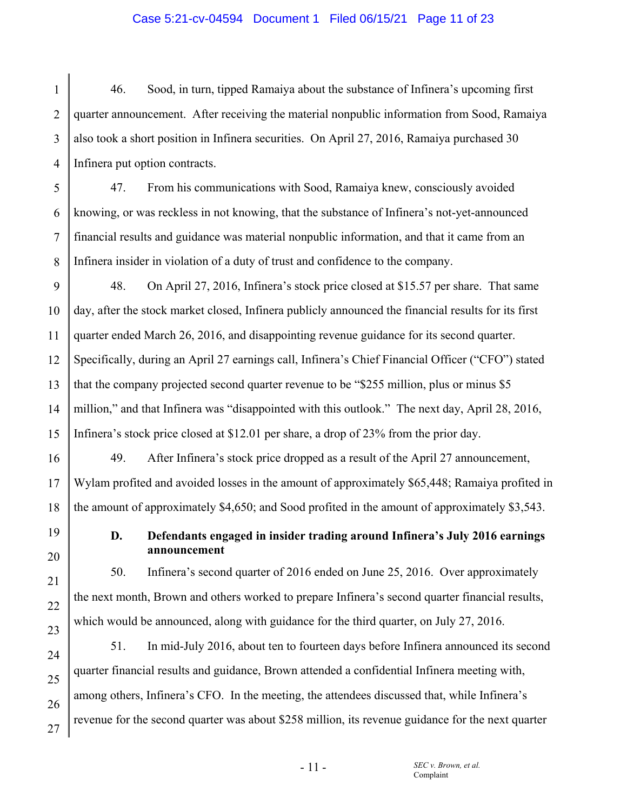## Case 5:21-cv-04594 Document 1 Filed 06/15/21 Page 11 of 23

1 2 3 4 46. Sood, in turn, tipped Ramaiya about the substance of Infinera's upcoming first quarter announcement. After receiving the material nonpublic information from Sood, Ramaiya also took a short position in Infinera securities. On April 27, 2016, Ramaiya purchased 30 Infinera put option contracts.

5 47. From his communications with Sood, Ramaiya knew, consciously avoided knowing, or was reckless in not knowing, that the substance of Infinera's not-yet-announced financial results and guidance was material nonpublic information, and that it came from an Infinera insider in violation of a duty of trust and confidence to the company.

48. On April 27, 2016, Infinera's stock price closed at \$15.57 per share. That same day, after the stock market closed, Infinera publicly announced the financial results for its first quarter ended March 26, 2016, and disappointing revenue guidance for its second quarter. Specifically, during an April 27 earnings call, Infinera's Chief Financial Officer ("CFO") stated that the company projected second quarter revenue to be "\$255 million, plus or minus \$5 million," and that Infinera was "disappointed with this outlook." The next day, April 28, 2016, Infinera's stock price closed at \$12.01 per share, a drop of 23% from the prior day.

49. After Infinera's stock price dropped as a result of the April 27 announcement, Wylam profited and avoided losses in the amount of approximately \$65,448; Ramaiya profited in the amount of approximately \$4,650; and Sood profited in the amount of approximately \$3,543.

**D. Defendants engaged in insider trading around Infinera's July 2016 earnings announcement** 

50. Infinera's second quarter of 2016 ended on June 25, 2016. Over approximately the next month, Brown and others worked to prepare Infinera's second quarter financial results, which would be announced, along with guidance for the third quarter, on July 27, 2016.

51. In mid-July 2016, about ten to fourteen days before Infinera announced its second quarter financial results and guidance, Brown attended a confidential Infinera meeting with, among others, Infinera's CFO. In the meeting, the attendees discussed that, while Infinera's revenue for the second quarter was about \$258 million, its revenue guidance for the next quarter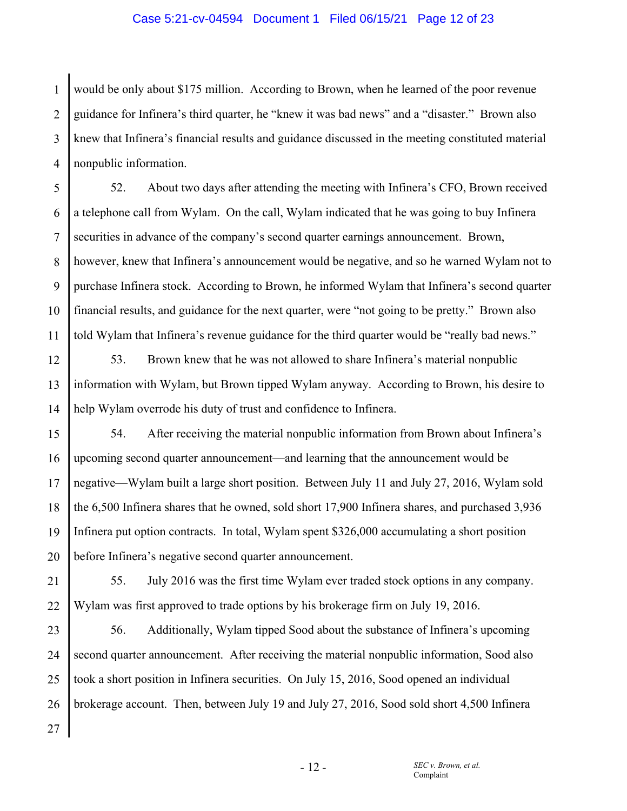#### Case 5:21-cv-04594 Document 1 Filed 06/15/21 Page 12 of 23

1 2 3 4 would be only about \$175 million. According to Brown, when he learned of the poor revenue guidance for Infinera's third quarter, he "knew it was bad news" and a "disaster." Brown also knew that Infinera's financial results and guidance discussed in the meeting constituted material nonpublic information.

5 6 7 8 9 10 11 52. About two days after attending the meeting with Infinera's CFO, Brown received a telephone call from Wylam. On the call, Wylam indicated that he was going to buy Infinera securities in advance of the company's second quarter earnings announcement. Brown, however, knew that Infinera's announcement would be negative, and so he warned Wylam not to purchase Infinera stock. According to Brown, he informed Wylam that Infinera's second quarter financial results, and guidance for the next quarter, were "not going to be pretty." Brown also told Wylam that Infinera's revenue guidance for the third quarter would be "really bad news."

12 13 14 53. Brown knew that he was not allowed to share Infinera's material nonpublic information with Wylam, but Brown tipped Wylam anyway. According to Brown, his desire to help Wylam overrode his duty of trust and confidence to Infinera.

15 16 17 18 19 20 54. After receiving the material nonpublic information from Brown about Infinera's upcoming second quarter announcement—and learning that the announcement would be negative—Wylam built a large short position. Between July 11 and July 27, 2016, Wylam sold the 6,500 Infinera shares that he owned, sold short 17,900 Infinera shares, and purchased 3,936 Infinera put option contracts. In total, Wylam spent \$326,000 accumulating a short position before Infinera's negative second quarter announcement.

21 22 55. July 2016 was the first time Wylam ever traded stock options in any company. Wylam was first approved to trade options by his brokerage firm on July 19, 2016.

23 24 25 26 27 56. Additionally, Wylam tipped Sood about the substance of Infinera's upcoming second quarter announcement. After receiving the material nonpublic information, Sood also took a short position in Infinera securities. On July 15, 2016, Sood opened an individual brokerage account. Then, between July 19 and July 27, 2016, Sood sold short 4,500 Infinera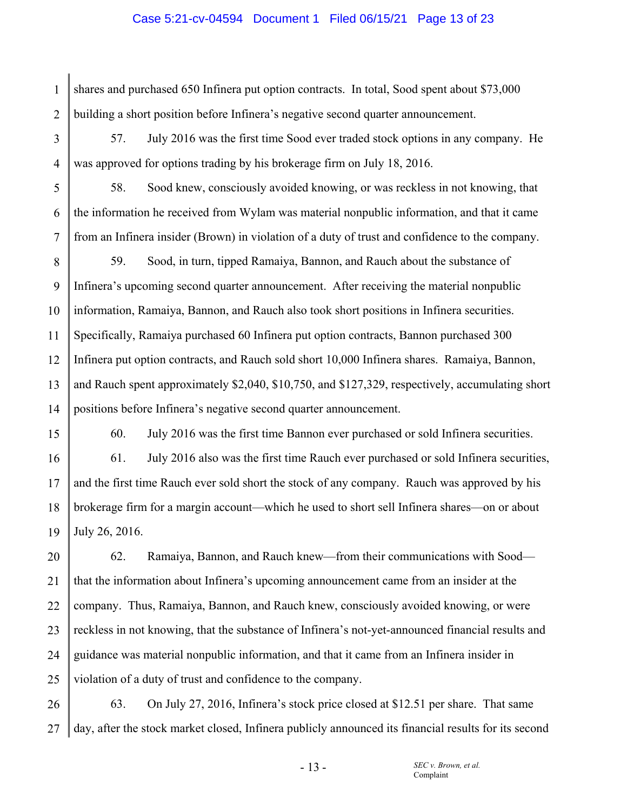#### Case 5:21-cv-04594 Document 1 Filed 06/15/21 Page 13 of 23

1 2 shares and purchased 650 Infinera put option contracts. In total, Sood spent about \$73,000 building a short position before Infinera's negative second quarter announcement.

3

4

5

6

7

15

57. July 2016 was the first time Sood ever traded stock options in any company. He was approved for options trading by his brokerage firm on July 18, 2016.

58. Sood knew, consciously avoided knowing, or was reckless in not knowing, that the information he received from Wylam was material nonpublic information, and that it came from an Infinera insider (Brown) in violation of a duty of trust and confidence to the company.

8 9 10 11 12 13 14 59. Sood, in turn, tipped Ramaiya, Bannon, and Rauch about the substance of Infinera's upcoming second quarter announcement. After receiving the material nonpublic information, Ramaiya, Bannon, and Rauch also took short positions in Infinera securities. Specifically, Ramaiya purchased 60 Infinera put option contracts, Bannon purchased 300 Infinera put option contracts, and Rauch sold short 10,000 Infinera shares. Ramaiya, Bannon, and Rauch spent approximately \$2,040, \$10,750, and \$127,329, respectively, accumulating short positions before Infinera's negative second quarter announcement.

60. July 2016 was the first time Bannon ever purchased or sold Infinera securities.

16 17 18 19 61. July 2016 also was the first time Rauch ever purchased or sold Infinera securities, and the first time Rauch ever sold short the stock of any company. Rauch was approved by his brokerage firm for a margin account—which he used to short sell Infinera shares—on or about July 26, 2016.

20 21 22 23 24 25 62. Ramaiya, Bannon, and Rauch knew—from their communications with Sood that the information about Infinera's upcoming announcement came from an insider at the company. Thus, Ramaiya, Bannon, and Rauch knew, consciously avoided knowing, or were reckless in not knowing, that the substance of Infinera's not-yet-announced financial results and guidance was material nonpublic information, and that it came from an Infinera insider in violation of a duty of trust and confidence to the company.

26 27 63. On July 27, 2016, Infinera's stock price closed at \$12.51 per share. That same day, after the stock market closed, Infinera publicly announced its financial results for its second

- 13 -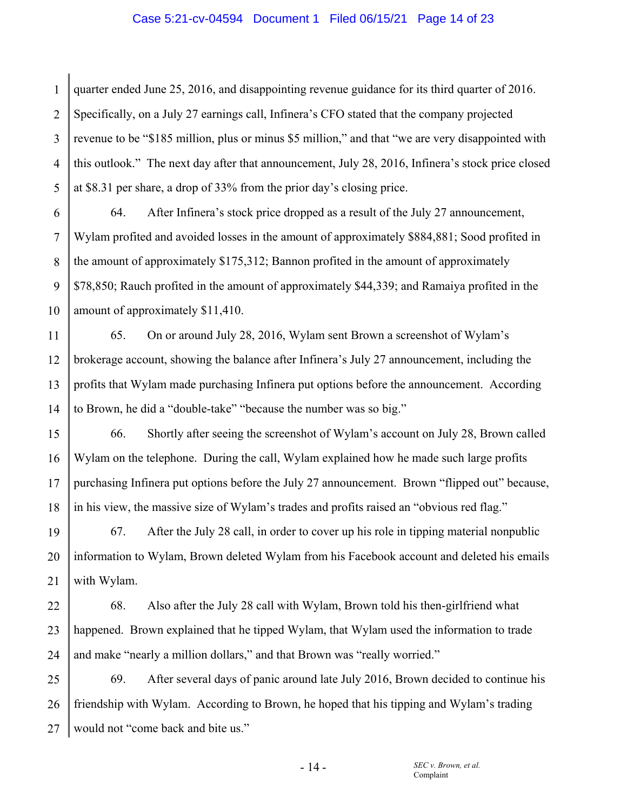#### Case 5:21-cv-04594 Document 1 Filed 06/15/21 Page 14 of 23

1 2 3 4 5 quarter ended June 25, 2016, and disappointing revenue guidance for its third quarter of 2016. Specifically, on a July 27 earnings call, Infinera's CFO stated that the company projected revenue to be "\$185 million, plus or minus \$5 million," and that "we are very disappointed with this outlook." The next day after that announcement, July 28, 2016, Infinera's stock price closed at \$8.31 per share, a drop of 33% from the prior day's closing price.

6 7 8 9 10 64. After Infinera's stock price dropped as a result of the July 27 announcement, Wylam profited and avoided losses in the amount of approximately \$884,881; Sood profited in the amount of approximately \$175,312; Bannon profited in the amount of approximately \$78,850; Rauch profited in the amount of approximately \$44,339; and Ramaiya profited in the amount of approximately \$11,410.

11 12 13 14 65. On or around July 28, 2016, Wylam sent Brown a screenshot of Wylam's brokerage account, showing the balance after Infinera's July 27 announcement, including the profits that Wylam made purchasing Infinera put options before the announcement. According to Brown, he did a "double-take" "because the number was so big."

15 16 17 18 66. Shortly after seeing the screenshot of Wylam's account on July 28, Brown called Wylam on the telephone. During the call, Wylam explained how he made such large profits purchasing Infinera put options before the July 27 announcement. Brown "flipped out" because, in his view, the massive size of Wylam's trades and profits raised an "obvious red flag."

19 20 21 67. After the July 28 call, in order to cover up his role in tipping material nonpublic information to Wylam, Brown deleted Wylam from his Facebook account and deleted his emails with Wylam.

22 23 24 68. Also after the July 28 call with Wylam, Brown told his then-girlfriend what happened. Brown explained that he tipped Wylam, that Wylam used the information to trade and make "nearly a million dollars," and that Brown was "really worried."

25 26 27 69. After several days of panic around late July 2016, Brown decided to continue his friendship with Wylam. According to Brown, he hoped that his tipping and Wylam's trading would not "come back and bite us."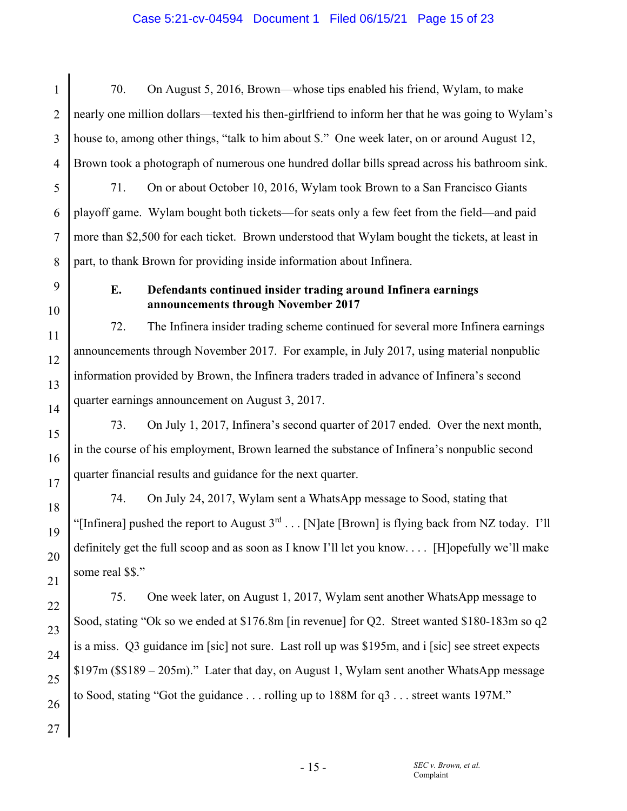## Case 5:21-cv-04594 Document 1 Filed 06/15/21 Page 15 of 23

1 2 3 4 5 6 7 8 70. On August 5, 2016, Brown—whose tips enabled his friend, Wylam, to make nearly one million dollars—texted his then-girlfriend to inform her that he was going to Wylam's house to, among other things, "talk to him about \$." One week later, on or around August 12, Brown took a photograph of numerous one hundred dollar bills spread across his bathroom sink. 71. On or about October 10, 2016, Wylam took Brown to a San Francisco Giants playoff game. Wylam bought both tickets—for seats only a few feet from the field—and paid more than \$2,500 for each ticket. Brown understood that Wylam bought the tickets, at least in part, to thank Brown for providing inside information about Infinera.

## **E. Defendants continued insider trading around Infinera earnings announcements through November 2017**

72. The Infinera insider trading scheme continued for several more Infinera earnings announcements through November 2017. For example, in July 2017, using material nonpublic information provided by Brown, the Infinera traders traded in advance of Infinera's second quarter earnings announcement on August 3, 2017.

73. On July 1, 2017, Infinera's second quarter of 2017 ended. Over the next month, in the course of his employment, Brown learned the substance of Infinera's nonpublic second quarter financial results and guidance for the next quarter.

74. On July 24, 2017, Wylam sent a WhatsApp message to Sood, stating that "[Infinera] pushed the report to August  $3^{rd} \dots$  [N]ate [Brown] is flying back from NZ today. I'll definitely get the full scoop and as soon as I know I'll let you know. . . . [H]opefully we'll make some real \$\$."

75. One week later, on August 1, 2017, Wylam sent another WhatsApp message to Sood, stating "Ok so we ended at \$176.8m [in revenue] for Q2. Street wanted \$180-183m so q2 is a miss. Q3 guidance im [sic] not sure. Last roll up was \$195m, and i [sic] see street expects \$197m (\$\$189 – 205m)." Later that day, on August 1, Wylam sent another WhatsApp message to Sood, stating "Got the guidance . . . rolling up to 188M for q3 . . . street wants 197M."

9

10

11

12

13

14

15

16

17

18

19

20

21

22

23

24

25

26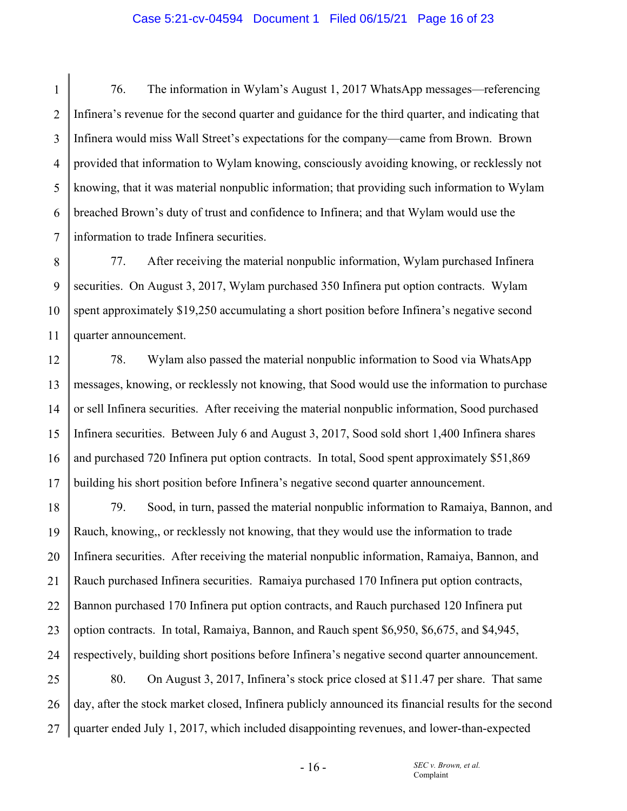#### Case 5:21-cv-04594 Document 1 Filed 06/15/21 Page 16 of 23

1 2 3 4 5 6 7 76. The information in Wylam's August 1, 2017 WhatsApp messages—referencing Infinera's revenue for the second quarter and guidance for the third quarter, and indicating that Infinera would miss Wall Street's expectations for the company—came from Brown. Brown provided that information to Wylam knowing, consciously avoiding knowing, or recklessly not knowing, that it was material nonpublic information; that providing such information to Wylam breached Brown's duty of trust and confidence to Infinera; and that Wylam would use the information to trade Infinera securities.

8 9 10 11 77. After receiving the material nonpublic information, Wylam purchased Infinera securities. On August 3, 2017, Wylam purchased 350 Infinera put option contracts. Wylam spent approximately \$19,250 accumulating a short position before Infinera's negative second quarter announcement.

12 13 14 15 16 17 78. Wylam also passed the material nonpublic information to Sood via WhatsApp messages, knowing, or recklessly not knowing, that Sood would use the information to purchase or sell Infinera securities. After receiving the material nonpublic information, Sood purchased Infinera securities. Between July 6 and August 3, 2017, Sood sold short 1,400 Infinera shares and purchased 720 Infinera put option contracts. In total, Sood spent approximately \$51,869 building his short position before Infinera's negative second quarter announcement.

18 19 20 21 22 23 24 25 26 27 79. Sood, in turn, passed the material nonpublic information to Ramaiya, Bannon, and Rauch, knowing,, or recklessly not knowing, that they would use the information to trade Infinera securities. After receiving the material nonpublic information, Ramaiya, Bannon, and Rauch purchased Infinera securities. Ramaiya purchased 170 Infinera put option contracts, Bannon purchased 170 Infinera put option contracts, and Rauch purchased 120 Infinera put option contracts. In total, Ramaiya, Bannon, and Rauch spent \$6,950, \$6,675, and \$4,945, respectively, building short positions before Infinera's negative second quarter announcement. 80. On August 3, 2017, Infinera's stock price closed at \$11.47 per share. That same day, after the stock market closed, Infinera publicly announced its financial results for the second quarter ended July 1, 2017, which included disappointing revenues, and lower-than-expected

 $-16-$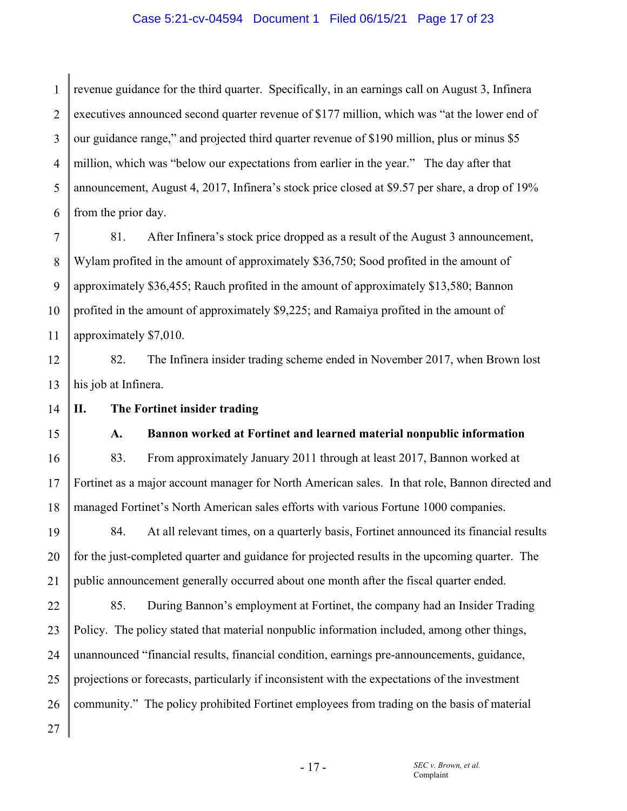#### Case 5:21-cv-04594 Document 1 Filed 06/15/21 Page 17 of 23

1 2 3 4 5 6 revenue guidance for the third quarter. Specifically, in an earnings call on August 3, Infinera executives announced second quarter revenue of \$177 million, which was "at the lower end of our guidance range," and projected third quarter revenue of \$190 million, plus or minus \$5 million, which was "below our expectations from earlier in the year." The day after that announcement, August 4, 2017, Infinera's stock price closed at \$9.57 per share, a drop of 19% from the prior day.

7 8 9 10 11 81. After Infinera's stock price dropped as a result of the August 3 announcement, Wylam profited in the amount of approximately \$36,750; Sood profited in the amount of approximately \$36,455; Rauch profited in the amount of approximately \$13,580; Bannon profited in the amount of approximately \$9,225; and Ramaiya profited in the amount of approximately \$7,010.

12 13 82. The Infinera insider trading scheme ended in November 2017, when Brown lost his job at Infinera.

14 **II. The Fortinet insider trading** 

15

## **A. Bannon worked at Fortinet and learned material nonpublic information**

16 17 18 83. From approximately January 2011 through at least 2017, Bannon worked at Fortinet as a major account manager for North American sales. In that role, Bannon directed and managed Fortinet's North American sales efforts with various Fortune 1000 companies.

19 20 21 84. At all relevant times, on a quarterly basis, Fortinet announced its financial results for the just-completed quarter and guidance for projected results in the upcoming quarter. The public announcement generally occurred about one month after the fiscal quarter ended.

22 23 24 25 26 27 85. During Bannon's employment at Fortinet, the company had an Insider Trading Policy. The policy stated that material nonpublic information included, among other things, unannounced "financial results, financial condition, earnings pre-announcements, guidance, projections or forecasts, particularly if inconsistent with the expectations of the investment community." The policy prohibited Fortinet employees from trading on the basis of material

- 17 -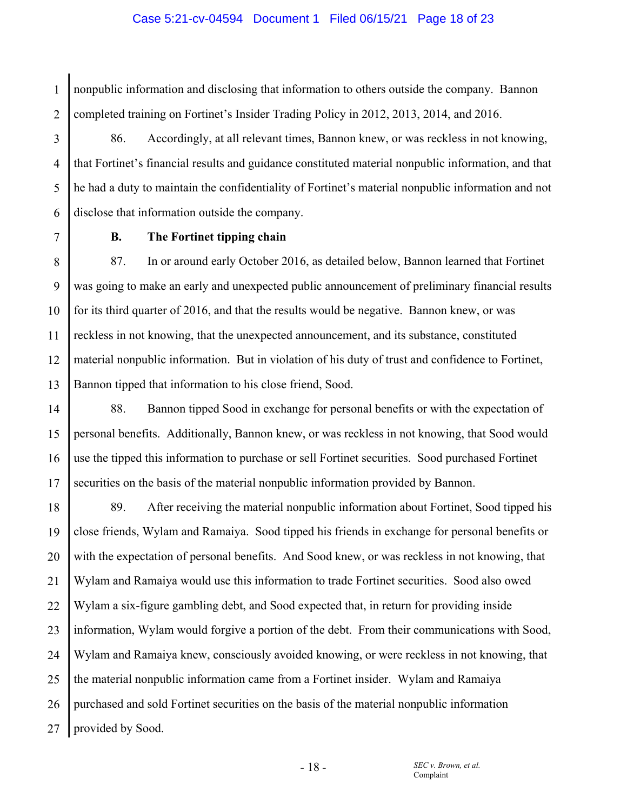## Case 5:21-cv-04594 Document 1 Filed 06/15/21 Page 18 of 23

nonpublic information and disclosing that information to others outside the company. Bannon completed training on Fortinet's Insider Trading Policy in 2012, 2013, 2014, and 2016.

86. Accordingly, at all relevant times, Bannon knew, or was reckless in not knowing, that Fortinet's financial results and guidance constituted material nonpublic information, and that he had a duty to maintain the confidentiality of Fortinet's material nonpublic information and not disclose that information outside the company.

6 7

1

2

3

4

5

## **B. The Fortinet tipping chain**

8 9 10 11 12 13 87. In or around early October 2016, as detailed below, Bannon learned that Fortinet was going to make an early and unexpected public announcement of preliminary financial results for its third quarter of 2016, and that the results would be negative. Bannon knew, or was reckless in not knowing, that the unexpected announcement, and its substance, constituted material nonpublic information. But in violation of his duty of trust and confidence to Fortinet, Bannon tipped that information to his close friend, Sood.

14 15 16 17 88. Bannon tipped Sood in exchange for personal benefits or with the expectation of personal benefits. Additionally, Bannon knew, or was reckless in not knowing, that Sood would use the tipped this information to purchase or sell Fortinet securities. Sood purchased Fortinet securities on the basis of the material nonpublic information provided by Bannon.

18 19 20 21 22 23 24 25 26 27 89. After receiving the material nonpublic information about Fortinet, Sood tipped his close friends, Wylam and Ramaiya. Sood tipped his friends in exchange for personal benefits or with the expectation of personal benefits. And Sood knew, or was reckless in not knowing, that Wylam and Ramaiya would use this information to trade Fortinet securities. Sood also owed Wylam a six-figure gambling debt, and Sood expected that, in return for providing inside information, Wylam would forgive a portion of the debt. From their communications with Sood, Wylam and Ramaiya knew, consciously avoided knowing, or were reckless in not knowing, that the material nonpublic information came from a Fortinet insider. Wylam and Ramaiya purchased and sold Fortinet securities on the basis of the material nonpublic information provided by Sood.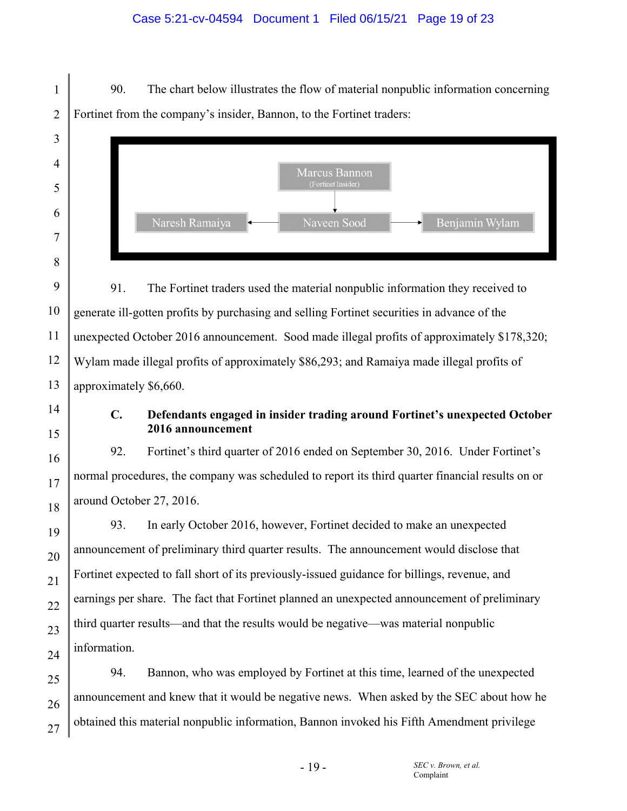## Case 5:21-cv-04594 Document 1 Filed 06/15/21 Page 19 of 23

1 2 90. The chart below illustrates the flow of material nonpublic information concerning Fortinet from the company's insider, Bannon, to the Fortinet traders:



91. The Fortinet traders used the material nonpublic information they received to generate ill-gotten profits by purchasing and selling Fortinet securities in advance of the unexpected October 2016 announcement. Sood made illegal profits of approximately \$178,320; Wylam made illegal profits of approximately \$86,293; and Ramaiya made illegal profits of approximately \$6,660.

## **C. Defendants engaged in insider trading around Fortinet's unexpected October 2016 announcement**

92. Fortinet's third quarter of 2016 ended on September 30, 2016. Under Fortinet's normal procedures, the company was scheduled to report its third quarter financial results on or around October 27, 2016.

93. In early October 2016, however, Fortinet decided to make an unexpected announcement of preliminary third quarter results. The announcement would disclose that Fortinet expected to fall short of its previously-issued guidance for billings, revenue, and earnings per share. The fact that Fortinet planned an unexpected announcement of preliminary third quarter results—and that the results would be negative—was material nonpublic information.

94. Bannon, who was employed by Fortinet at this time, learned of the unexpected announcement and knew that it would be negative news. When asked by the SEC about how he obtained this material nonpublic information, Bannon invoked his Fifth Amendment privilege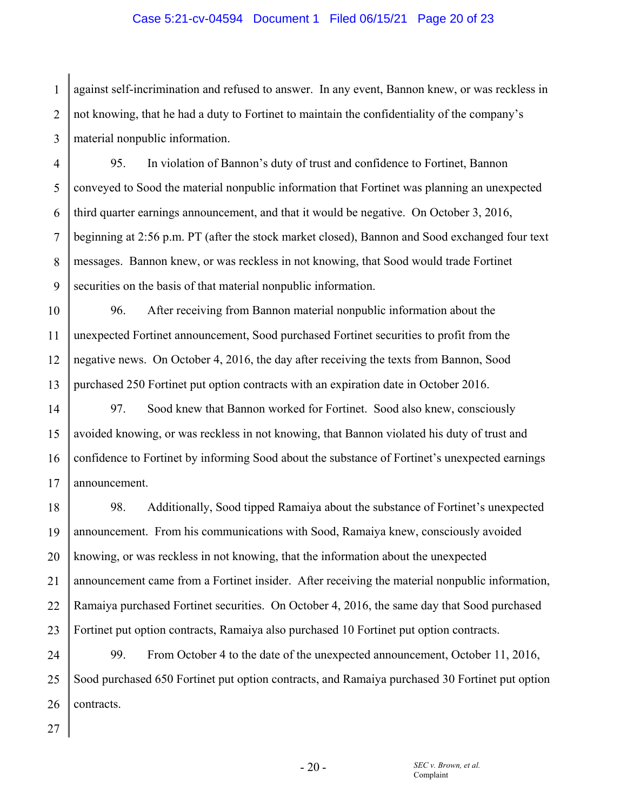#### Case 5:21-cv-04594 Document 1 Filed 06/15/21 Page 20 of 23

1 2 3 against self-incrimination and refused to answer. In any event, Bannon knew, or was reckless in not knowing, that he had a duty to Fortinet to maintain the confidentiality of the company's material nonpublic information.

4 5 6 7 8 9 95. In violation of Bannon's duty of trust and confidence to Fortinet, Bannon conveyed to Sood the material nonpublic information that Fortinet was planning an unexpected third quarter earnings announcement, and that it would be negative. On October 3, 2016, beginning at 2:56 p.m. PT (after the stock market closed), Bannon and Sood exchanged four text messages. Bannon knew, or was reckless in not knowing, that Sood would trade Fortinet securities on the basis of that material nonpublic information.

10 11 12 13 96. After receiving from Bannon material nonpublic information about the unexpected Fortinet announcement, Sood purchased Fortinet securities to profit from the negative news. On October 4, 2016, the day after receiving the texts from Bannon, Sood purchased 250 Fortinet put option contracts with an expiration date in October 2016.

14 15 16 17 97. Sood knew that Bannon worked for Fortinet. Sood also knew, consciously avoided knowing, or was reckless in not knowing, that Bannon violated his duty of trust and confidence to Fortinet by informing Sood about the substance of Fortinet's unexpected earnings announcement.

18 19 20 21 22 23 98. Additionally, Sood tipped Ramaiya about the substance of Fortinet's unexpected announcement. From his communications with Sood, Ramaiya knew, consciously avoided knowing, or was reckless in not knowing, that the information about the unexpected announcement came from a Fortinet insider. After receiving the material nonpublic information, Ramaiya purchased Fortinet securities. On October 4, 2016, the same day that Sood purchased Fortinet put option contracts, Ramaiya also purchased 10 Fortinet put option contracts.

24 25 26 99. From October 4 to the date of the unexpected announcement, October 11, 2016, Sood purchased 650 Fortinet put option contracts, and Ramaiya purchased 30 Fortinet put option contracts.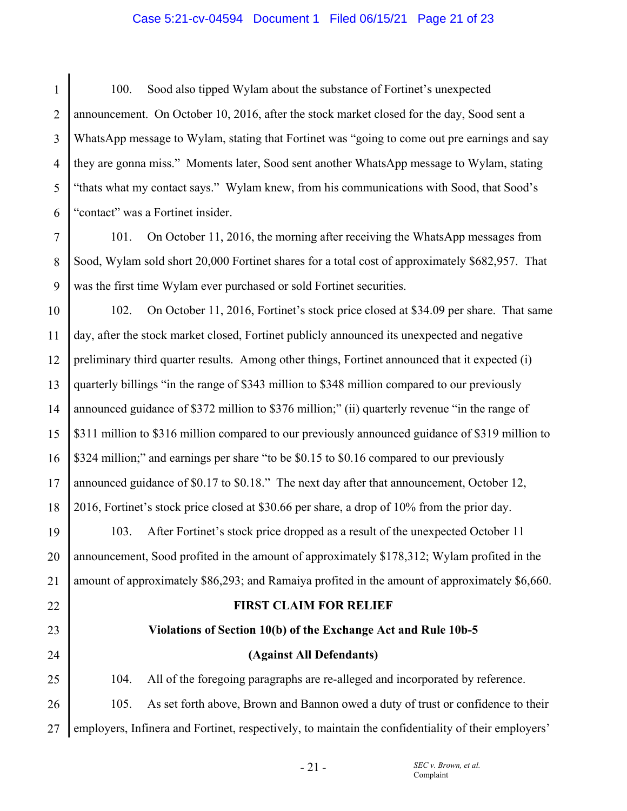#### Case 5:21-cv-04594 Document 1 Filed 06/15/21 Page 21 of 23

1 2 3 4 5 6 100. Sood also tipped Wylam about the substance of Fortinet's unexpected announcement. On October 10, 2016, after the stock market closed for the day, Sood sent a WhatsApp message to Wylam, stating that Fortinet was "going to come out pre earnings and say they are gonna miss." Moments later, Sood sent another WhatsApp message to Wylam, stating "thats what my contact says." Wylam knew, from his communications with Sood, that Sood's "contact" was a Fortinet insider.

7 8 9 101. On October 11, 2016, the morning after receiving the WhatsApp messages from Sood, Wylam sold short 20,000 Fortinet shares for a total cost of approximately \$682,957. That was the first time Wylam ever purchased or sold Fortinet securities.

10 11 12 13 14 15 16 17 18 102. On October 11, 2016, Fortinet's stock price closed at \$34.09 per share. That same day, after the stock market closed, Fortinet publicly announced its unexpected and negative preliminary third quarter results. Among other things, Fortinet announced that it expected (i) quarterly billings "in the range of \$343 million to \$348 million compared to our previously announced guidance of \$372 million to \$376 million;" (ii) quarterly revenue "in the range of \$311 million to \$316 million compared to our previously announced guidance of \$319 million to \$324 million;" and earnings per share "to be \$0.15 to \$0.16 compared to our previously announced guidance of \$0.17 to \$0.18." The next day after that announcement, October 12, 2016, Fortinet's stock price closed at \$30.66 per share, a drop of 10% from the prior day.

19 20 21 103. After Fortinet's stock price dropped as a result of the unexpected October 11 announcement, Sood profited in the amount of approximately \$178,312; Wylam profited in the amount of approximately \$86,293; and Ramaiya profited in the amount of approximately \$6,660.

22

23

24

#### **FIRST CLAIM FOR RELIEF**

# **Violations of Section 10(b) of the Exchange Act and Rule 10b-5**

## **(Against All Defendants)**

25 26 104. All of the foregoing paragraphs are re-alleged and incorporated by reference. 105. As set forth above, Brown and Bannon owed a duty of trust or confidence to their

27 employers, Infinera and Fortinet, respectively, to maintain the confidentiality of their employers'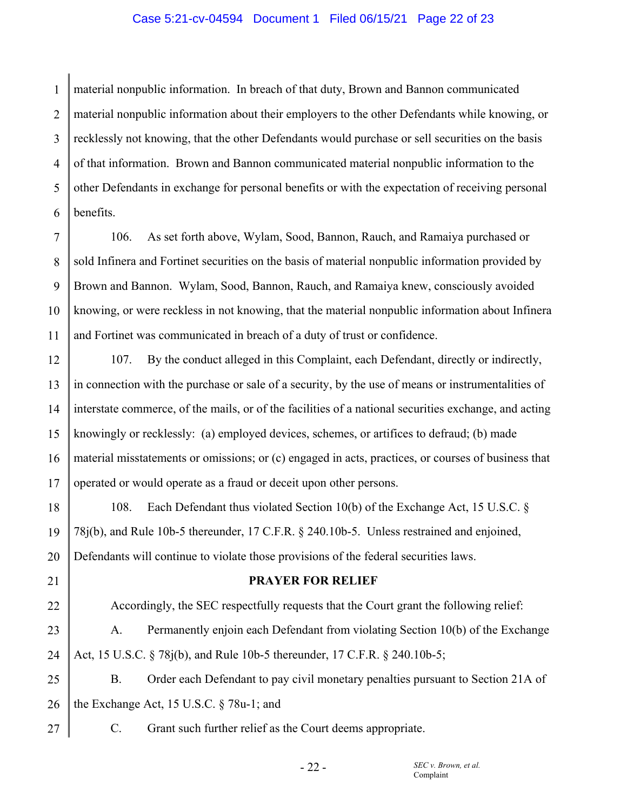#### Case 5:21-cv-04594 Document 1 Filed 06/15/21 Page 22 of 23

1 2 3 4 5 6 material nonpublic information. In breach of that duty, Brown and Bannon communicated material nonpublic information about their employers to the other Defendants while knowing, or recklessly not knowing, that the other Defendants would purchase or sell securities on the basis of that information. Brown and Bannon communicated material nonpublic information to the other Defendants in exchange for personal benefits or with the expectation of receiving personal benefits.

7 8 9 10 11 106. As set forth above, Wylam, Sood, Bannon, Rauch, and Ramaiya purchased or sold Infinera and Fortinet securities on the basis of material nonpublic information provided by Brown and Bannon. Wylam, Sood, Bannon, Rauch, and Ramaiya knew, consciously avoided knowing, or were reckless in not knowing, that the material nonpublic information about Infinera and Fortinet was communicated in breach of a duty of trust or confidence.

12 13 14 15 16 17 107. By the conduct alleged in this Complaint, each Defendant, directly or indirectly, in connection with the purchase or sale of a security, by the use of means or instrumentalities of interstate commerce, of the mails, or of the facilities of a national securities exchange, and acting knowingly or recklessly: (a) employed devices, schemes, or artifices to defraud; (b) made material misstatements or omissions; or (c) engaged in acts, practices, or courses of business that operated or would operate as a fraud or deceit upon other persons.

18 19 20 108. Each Defendant thus violated Section 10(b) of the Exchange Act, 15 U.S.C. § 78j(b), and Rule 10b-5 thereunder, 17 C.F.R. § 240.10b-5. Unless restrained and enjoined, Defendants will continue to violate those provisions of the federal securities laws.

**PRAYER FOR RELIEF** 

22 23 24 Accordingly, the SEC respectfully requests that the Court grant the following relief: A. Permanently enjoin each Defendant from violating Section 10(b) of the Exchange Act, 15 U.S.C. § 78j(b), and Rule 10b-5 thereunder, 17 C.F.R. § 240.10b-5;

25 26 B. Order each Defendant to pay civil monetary penalties pursuant to Section 21A of the Exchange Act, 15 U.S.C. § 78u-1; and

27

21

C. Grant such further relief as the Court deems appropriate.